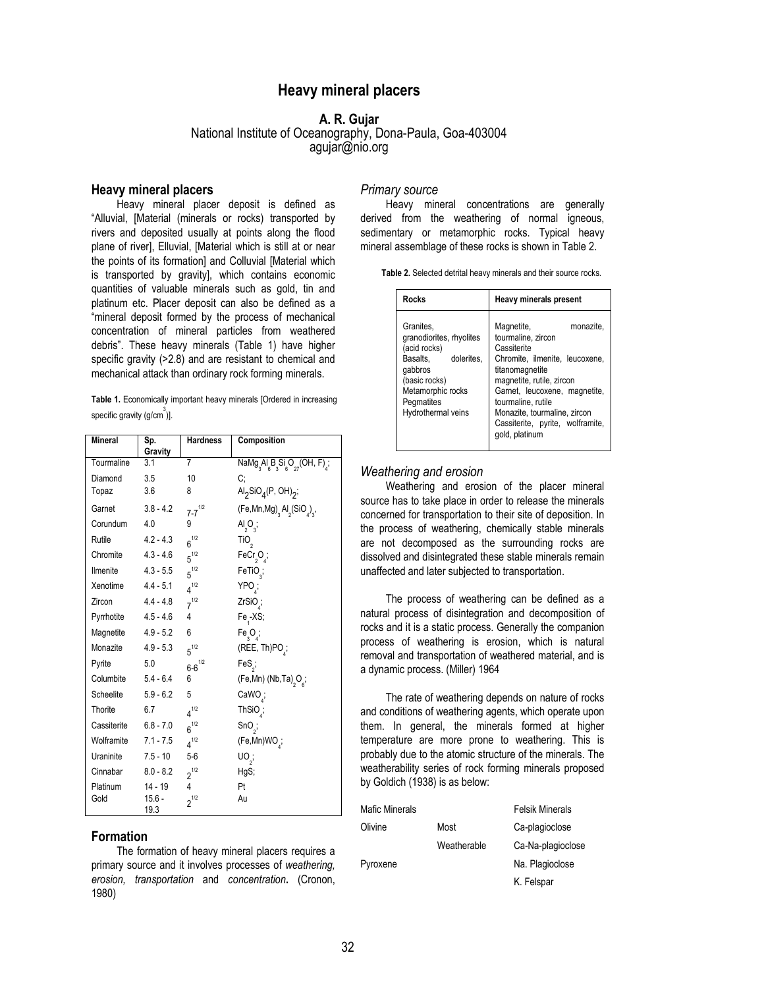# **Heavy mineral placers**

# **A. R. Gujar**

# National Institute of Oceanography, Dona-Paula, Goa-403004 agujar@nio.org

# **Heavy mineral placers**

Heavy mineral placer deposit is defined as "Alluvial, [Material (minerals or rocks) transported by rivers and deposited usually at points along the flood plane of river], Elluvial, [Material which is still at or near the points of its formation] and Colluvial [Material which is transported by gravity], which contains economic quantities of valuable minerals such as gold, tin and platinum etc. Placer deposit can also be defined as a "mineral deposit formed by the process of mechanical concentration of mineral particles from weathered debris". These heavy minerals (Table 1) have higher specific gravity (>2.8) and are resistant to chemical and mechanical attack than ordinary rock forming minerals.

**Table 1.** Economically important heavy minerals [Ordered in increasing specific gravity (g/cm $^{3}$ )].

| <b>Mineral</b> | Sp.<br>Gravity   | <b>Hardness</b> | Composition                                            |
|----------------|------------------|-----------------|--------------------------------------------------------|
| Tourmaline     | 3.1              | $\overline{7}$  | $Namg_{3}Al_{6}B_{3}Si_{6}O_{27}(OH, F)_{4}$ ;         |
| Diamond        | 3.5              | 10              | C:                                                     |
| Topaz          | 3.6              | 8               | $\text{Al}_2\text{SiO}_4(\text{P}, \text{OH})_2$ ;     |
| Garnet         | $3.8 - 4.2$      | $7 - 7^{1/2}$   | $(Fe, Mn, Mg)$ <sub>3</sub> $Al2(SiO4)$ <sub>3</sub> , |
| Corundum       | 4.0              | 9               | $\mathsf{Al}_2\mathsf{O}_3$ ;                          |
| Rutile         | $4.2 - 4.3$      | $6^{1/2}$       | TiO <sub>2</sub>                                       |
| Chromite       | $4.3 - 4.6$      | $5^{1/2}$       | $FeCr_{2}O_{4}$                                        |
| Ilmenite       | $4.3 - 5.5$      | $5^{1/2}$       | FeTiO <sub>3</sub> ;                                   |
| Xenotime       | $4.4 - 5.1$      | $4^{1/2}$       | YPO;                                                   |
| Zircon         | 4.4 - 4.8        | $7^{1/2}$       | ZrSiO <sub>4</sub> ;                                   |
| Pyrrhotite     | 4.5 - 4.6        | 4               | $Fe4-XS;$                                              |
| Magnetite      | $4.9 - 5.2$      | 6               | $Fe_{3}O_{4}$                                          |
| Monazite       | $4.9 - 5.3$      | $5^{1/2}$       | (REE, Th)PO;                                           |
| Pyrite         | 5.0              | $6 - 6^{1/2}$   | $FeS2$ ;                                               |
| Columbite      | $5.4 - 6.4$      | 6               | (Fe,Mn) (Nb,Ta) <sub>2</sub> O <sub>s</sub> ;          |
| Scheelite      | $5.9 - 6.2$      | 5               | CaWO <sub>1</sub> ;                                    |
| Thorite        | 6.7              | $4^{1/2}$       | $Thisio_j$                                             |
| Cassiterite    | $6.8 - 7.0$      | $6^{1/2}$       | $SnO_{2}$                                              |
| Wolframite     | $7.1 - 7.5$      | $4^{1/2}$       | (Fe,Mn)WO <sub>4</sub> ;                               |
| Uraninite      | $7.5 - 10$       | $5-6$           | $\mathsf{UO}_{2}$ ;                                    |
| Cinnabar       | $8.0 - 8.2$      | $2^{1/2}$       | HgS;                                                   |
| Platinum       | 14 - 19          | 4               | Pt                                                     |
| Gold           | $15.6 -$<br>19.3 | $2^{1/2}$       | Au                                                     |

# **Formation**

The formation of heavy mineral placers requires a primary source and it involves processes of *weathering, erosion, transportation* and *concentration***.** (Cronon, 1980)

#### *Primary source*

Heavy mineral concentrations are generally derived from the weathering of normal igneous, sedimentary or metamorphic rocks. Typical heavy mineral assemblage of these rocks is shown in Table 2.

**Table 2.** Selected detrital heavy minerals and their source rocks.

| <b>Rocks</b>                                                                                                                                                         | Heavy minerals present                                                                                                                                                                                                                                                                      |  |  |
|----------------------------------------------------------------------------------------------------------------------------------------------------------------------|---------------------------------------------------------------------------------------------------------------------------------------------------------------------------------------------------------------------------------------------------------------------------------------------|--|--|
| Granites.<br>granodiorites, rhyolites<br>(acid rocks)<br>dolerites.<br>Basalts.<br>qabbros<br>(basic rocks)<br>Metamorphic rocks<br>Pegmatites<br>Hydrothermal veins | monazite.<br>Magnetite,<br>tourmaline, zircon<br>Cassiterite<br>Chromite, ilmenite, leucoxene,<br>titanomagnetite<br>magnetite, rutile, zircon<br>Garnet, leucoxene, magnetite,<br>tourmaline, rutile<br>Monazite, tourmaline, zircon<br>Cassiterite, pyrite, wolframite,<br>gold, platinum |  |  |

#### *Weathering and erosion*

Weathering and erosion of the placer mineral source has to take place in order to release the minerals concerned for transportation to their site of deposition. In the process of weathering, chemically stable minerals are not decomposed as the surrounding rocks are dissolved and disintegrated these stable minerals remain unaffected and later subjected to transportation.

The process of weathering can be defined as a natural process of disintegration and decomposition of rocks and it is a static process. Generally the companion process of weathering is erosion, which is natural removal and transportation of weathered material, and is a dynamic process. (Miller) 1964

The rate of weathering depends on nature of rocks and conditions of weathering agents, which operate upon them. In general, the minerals formed at higher temperature are more prone to weathering. This is probably due to the atomic structure of the minerals. The weatherability series of rock forming minerals proposed by Goldich (1938) is as below:

| Mafic Minerals |             | <b>Felsik Minerals</b> |
|----------------|-------------|------------------------|
| Olivine        | Most        | Ca-plagioclose         |
|                | Weatherable | Ca-Na-plagioclose      |
| Pyroxene       |             | Na. Plagioclose        |
|                |             | K. Felspar             |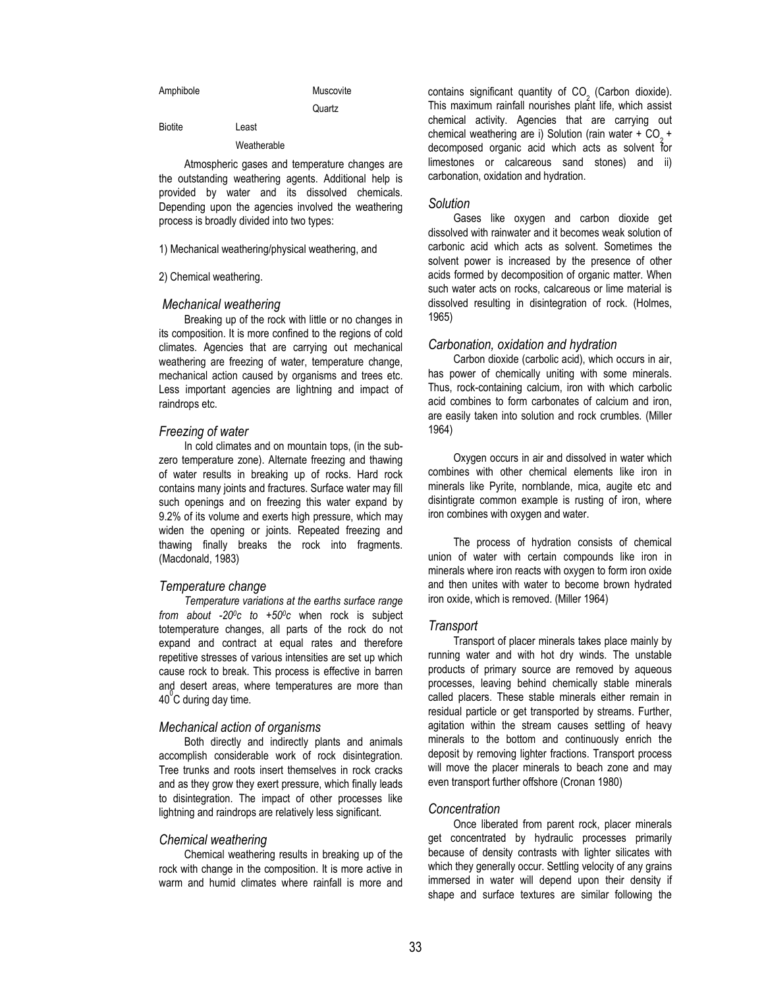| Amphibole      |             | Muscovite |  |
|----------------|-------------|-----------|--|
|                |             | Quartz    |  |
| <b>Biotite</b> | Least       |           |  |
|                | Weatherable |           |  |
| $\sim$ $\sim$  |             |           |  |

Atmospheric gases and temperature changes are the outstanding weathering agents. Additional help is provided by water and its dissolved chemicals. Depending upon the agencies involved the weathering process is broadly divided into two types:

1) Mechanical weathering/physical weathering, and

### 2) Chemical weathering.

#### *Mechanical weathering*

Breaking up of the rock with little or no changes in its composition. It is more confined to the regions of cold climates. Agencies that are carrying out mechanical weathering are freezing of water, temperature change, mechanical action caused by organisms and trees etc. Less important agencies are lightning and impact of raindrops etc.

### *Freezing of water*

In cold climates and on mountain tops, (in the subzero temperature zone). Alternate freezing and thawing of water results in breaking up of rocks. Hard rock contains many joints and fractures. Surface water may fill such openings and on freezing this water expand by 9.2% of its volume and exerts high pressure, which may widen the opening or joints. Repeated freezing and thawing finally breaks the rock into fragments. (Macdonald, 1983)

#### *Temperature change*

*Temperature variations at the earths surface range from about -200c to +500c* when rock is subject totemperature changes, all parts of the rock do not expand and contract at equal rates and therefore repetitive stresses of various intensities are set up which cause rock to break. This process is effective in barren and desert areas, where temperatures are more than  $40^{\circ}$ C during day time.

#### *Mechanical action of organisms*

Both directly and indirectly plants and animals accomplish considerable work of rock disintegration. Tree trunks and roots insert themselves in rock cracks and as they grow they exert pressure, which finally leads to disintegration. The impact of other processes like lightning and raindrops are relatively less significant.

#### *Chemical weathering*

Chemical weathering results in breaking up of the rock with change in the composition. It is more active in warm and humid climates where rainfall is more and contains significant quantity of CO<sub>2</sub> (Carbon dioxide). This maximum rainfall nourishes plant life, which assist chemical activity. Agencies that are carrying out chemical weathering are i) Solution (rain water  $+$  CO<sub>2</sub> + decomposed organic acid which acts as solvent for limestones or calcareous sand stones) and ii) carbonation, oxidation and hydration.

### *Solution*

Gases like oxygen and carbon dioxide get dissolved with rainwater and it becomes weak solution of carbonic acid which acts as solvent. Sometimes the solvent power is increased by the presence of other acids formed by decomposition of organic matter. When such water acts on rocks, calcareous or lime material is dissolved resulting in disintegration of rock. (Holmes, 1965)

#### *Carbonation, oxidation and hydration*

Carbon dioxide (carbolic acid), which occurs in air, has power of chemically uniting with some minerals. Thus, rock-containing calcium, iron with which carbolic acid combines to form carbonates of calcium and iron, are easily taken into solution and rock crumbles. (Miller 1964)

Oxygen occurs in air and dissolved in water which combines with other chemical elements like iron in minerals like Pyrite, nornblande, mica, augite etc and disintigrate common example is rusting of iron, where iron combines with oxygen and water.

The process of hydration consists of chemical union of water with certain compounds like iron in minerals where iron reacts with oxygen to form iron oxide and then unites with water to become brown hydrated iron oxide, which is removed. (Miller 1964)

#### *Transport*

Transport of placer minerals takes place mainly by running water and with hot dry winds. The unstable products of primary source are removed by aqueous processes, leaving behind chemically stable minerals called placers. These stable minerals either remain in residual particle or get transported by streams. Further, agitation within the stream causes settling of heavy minerals to the bottom and continuously enrich the deposit by removing lighter fractions. Transport process will move the placer minerals to beach zone and may even transport further offshore (Cronan 1980)

# *Concentration*

Once liberated from parent rock, placer minerals get concentrated by hydraulic processes primarily because of density contrasts with lighter silicates with which they generally occur. Settling velocity of any grains immersed in water will depend upon their density if shape and surface textures are similar following the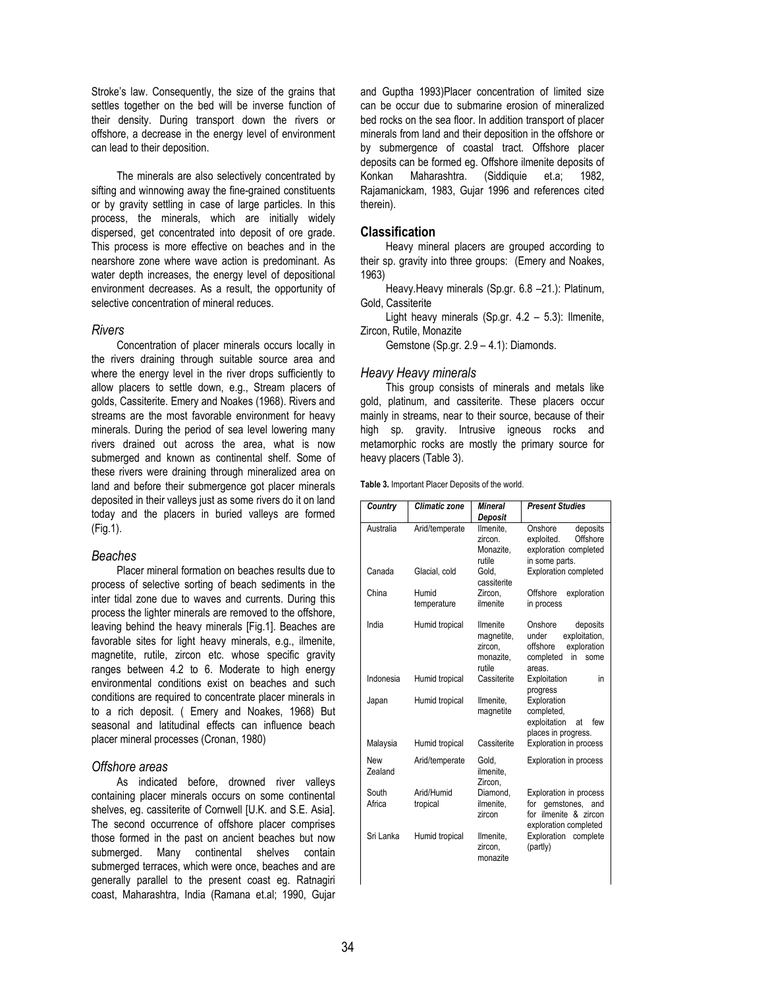Stroke's law. Consequently, the size of the grains that settles together on the bed will be inverse function of their density. During transport down the rivers or offshore, a decrease in the energy level of environment can lead to their deposition.

The minerals are also selectively concentrated by sifting and winnowing away the fine-grained constituents or by gravity settling in case of large particles. In this process, the minerals, which are initially widely dispersed, get concentrated into deposit of ore grade. This process is more effective on beaches and in the nearshore zone where wave action is predominant. As water depth increases, the energy level of depositional environment decreases. As a result, the opportunity of selective concentration of mineral reduces.

### *Rivers*

Concentration of placer minerals occurs locally in the rivers draining through suitable source area and where the energy level in the river drops sufficiently to allow placers to settle down, e.g., Stream placers of golds, Cassiterite. Emery and Noakes (1968). Rivers and streams are the most favorable environment for heavy minerals. During the period of sea level lowering many rivers drained out across the area, what is now submerged and known as continental shelf. Some of these rivers were draining through mineralized area on land and before their submergence got placer minerals deposited in their valleys just as some rivers do it on land today and the placers in buried valleys are formed (Fig.1).

# *Beaches*

Placer mineral formation on beaches results due to process of selective sorting of beach sediments in the inter tidal zone due to waves and currents. During this process the lighter minerals are removed to the offshore, leaving behind the heavy minerals [Fig.1]. Beaches are favorable sites for light heavy minerals, e.g., ilmenite, magnetite, rutile, zircon etc. whose specific gravity ranges between 4.2 to 6. Moderate to high energy environmental conditions exist on beaches and such conditions are required to concentrate placer minerals in to a rich deposit. ( Emery and Noakes, 1968) But seasonal and latitudinal effects can influence beach placer mineral processes (Cronan, 1980)

# *Offshore areas*

As indicated before, drowned river valleys containing placer minerals occurs on some continental shelves, eg. cassiterite of Cornwell [U.K. and S.E. Asia]. The second occurrence of offshore placer comprises those formed in the past on ancient beaches but now submerged. Many continental shelves contain submerged terraces, which were once, beaches and are generally parallel to the present coast eg. Ratnagiri coast, Maharashtra, India (Ramana et.al; 1990, Gujar and Guptha 1993)Placer concentration of limited size can be occur due to submarine erosion of mineralized bed rocks on the sea floor. In addition transport of placer minerals from land and their deposition in the offshore or by submergence of coastal tract. Offshore placer deposits can be formed eg. Offshore ilmenite deposits of Konkan Maharashtra. (Siddiquie et.a; 1982, Rajamanickam, 1983, Gujar 1996 and references cited therein).

# **Classification**

Heavy mineral placers are grouped according to their sp. gravity into three groups: (Emery and Noakes, 1963)

Heavy.Heavy minerals (Sp.gr. 6.8 –21.): Platinum, Gold, Cassiterite

Light heavy minerals (Sp.gr. 4.2 – 5.3): Ilmenite, Zircon, Rutile, Monazite

Gemstone (Sp.gr. 2.9 – 4.1): Diamonds.

### *Heavy Heavy minerals*

This group consists of minerals and metals like gold, platinum, and cassiterite. These placers occur mainly in streams, near to their source, because of their high sp. gravity. Intrusive igneous rocks and metamorphic rocks are mostly the primary source for heavy placers (Table 3).

**Table 3.** Important Placer Deposits of the world.

| Country         | Climatic zone          | Mineral                                                  | <b>Present Studies</b>                                                                                       |  |
|-----------------|------------------------|----------------------------------------------------------|--------------------------------------------------------------------------------------------------------------|--|
|                 |                        | Deposit                                                  |                                                                                                              |  |
| Australia       | Arid/temperate         | Ilmenite,<br>zircon<br>Monazite,<br>rutile               | Onshore<br>deposits<br>Offshore<br>exploited.<br>exploration completed<br>in some parts.                     |  |
| Canada          | Glacial, cold          | Gold.<br>cassiterite                                     | <b>Exploration completed</b>                                                                                 |  |
| China           | Humid<br>temperature   | Zircon.<br>ilmenite                                      | Offshore<br>exploration<br>in process                                                                        |  |
| India           | Humid tropical         | Ilmenite<br>magnetite,<br>zircon,<br>monazite,<br>rutile | Onshore<br>deposits<br>exploitation,<br>under<br>exploration<br>offshore<br>completed<br>in<br>some<br>areas |  |
| Indonesia       | Humid tropical         | Cassiterite                                              | Exploitation<br>in<br>progress                                                                               |  |
| Japan           | Humid tropical         | Ilmenite.<br>magnetite                                   | Exploration<br>completed,<br>exploitation<br>few<br>at<br>places in progress.                                |  |
| Malaysia        | Humid tropical         | Cassiterite                                              | <b>Exploration in process</b>                                                                                |  |
| New<br>Zealand  | Arid/temperate         | Gold.<br>ilmenite.<br>Zircon,                            | <b>Exploration in process</b>                                                                                |  |
| South<br>Africa | Arid/Humid<br>tropical | Diamond,<br>ilmenite.<br>zircon                          | Exploration in process<br>for<br>gemstones, and<br>for ilmenite & zircon<br>exploration completed            |  |
| Sri Lanka       | Humid tropical         | Ilmenite.<br>zircon,<br>monazite                         | Exploration complete<br>(partly)                                                                             |  |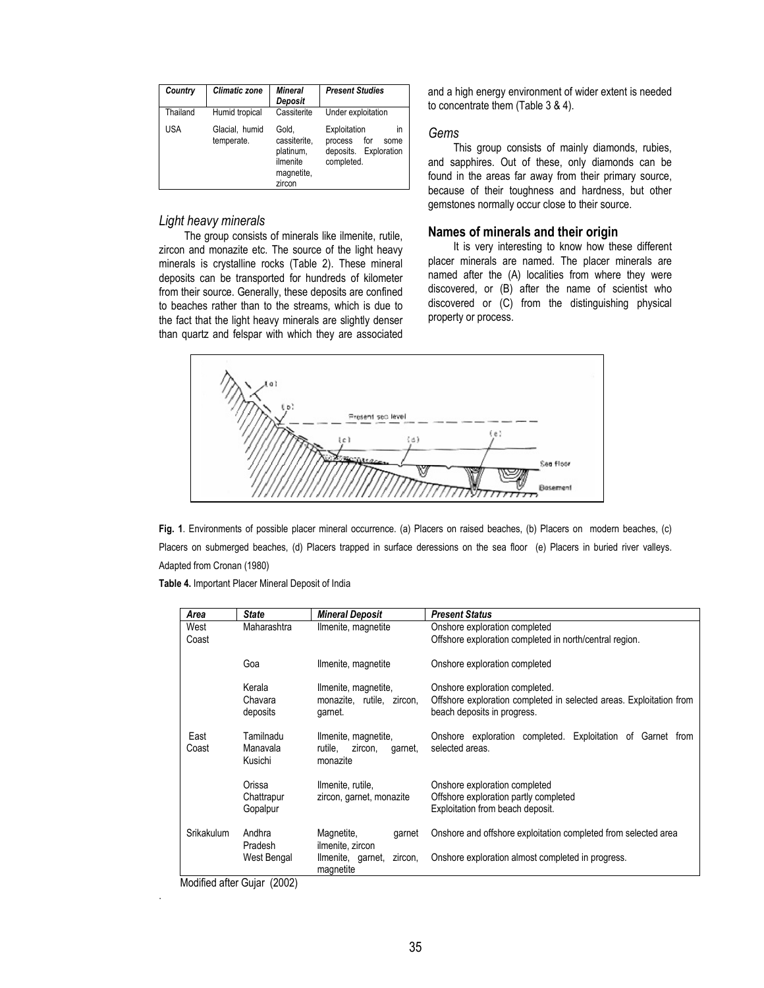| Country    | <b>Climatic zone</b>         | <b>Mineral</b><br>Deposit                                              | <b>Present Studies</b>                                                              |
|------------|------------------------------|------------------------------------------------------------------------|-------------------------------------------------------------------------------------|
| Thailand   | Humid tropical               | Cassiterite                                                            | Under exploitation                                                                  |
| <b>USA</b> | Glacial, humid<br>temperate. | Gold.<br>cassiterite.<br>platinum,<br>ilmenite<br>magnetite,<br>zircon | Exploitation<br>in<br>for<br>process<br>some<br>deposits. Exploration<br>completed. |

# *Light heavy minerals*

The group consists of minerals like ilmenite, rutile, zircon and monazite etc. The source of the light heavy minerals is crystalline rocks (Table 2). These mineral deposits can be transported for hundreds of kilometer from their source. Generally, these deposits are confined to beaches rather than to the streams, which is due to the fact that the light heavy minerals are slightly denser than quartz and felspar with which they are associated and a high energy environment of wider extent is needed to concentrate them (Table 3 & 4).

### *Gems*

This group consists of mainly diamonds, rubies, and sapphires. Out of these, only diamonds can be found in the areas far away from their primary source, because of their toughness and hardness, but other gemstones normally occur close to their source.

# **Names of minerals and their origin**

It is very interesting to know how these different placer minerals are named. The placer minerals are named after the (A) localities from where they were discovered, or (B) after the name of scientist who discovered or (C) from the distinguishing physical property or process.



**Fig. 1**. Environments of possible placer mineral occurrence. (a) Placers on raised beaches, (b) Placers on modern beaches, (c) Placers on submerged beaches, (d) Placers trapped in surface deressions on the sea floor (e) Placers in buried river valleys. Adapted from Cronan (1980)

**Table 4.** Important Placer Mineral Deposit of India

| <b>State</b>                           | <b>Mineral Deposit</b>               | <b>Present Status</b>                                                                                                                                                                                                                                                                                                                                                                         |  |  |
|----------------------------------------|--------------------------------------|-----------------------------------------------------------------------------------------------------------------------------------------------------------------------------------------------------------------------------------------------------------------------------------------------------------------------------------------------------------------------------------------------|--|--|
| Maharashtra                            | Ilmenite, magnetite                  | Onshore exploration completed                                                                                                                                                                                                                                                                                                                                                                 |  |  |
|                                        |                                      | Offshore exploration completed in north/central region.                                                                                                                                                                                                                                                                                                                                       |  |  |
| Goa                                    | Ilmenite, magnetite                  | Onshore exploration completed                                                                                                                                                                                                                                                                                                                                                                 |  |  |
| Kerala                                 | Ilmenite, magnetite,                 | Onshore exploration completed.                                                                                                                                                                                                                                                                                                                                                                |  |  |
| Chavara<br>deposits                    | monazite, rutile, zircon,<br>garnet. | Offshore exploration completed in selected areas. Exploitation from<br>beach deposits in progress.                                                                                                                                                                                                                                                                                            |  |  |
| Tamilnadu                              | Ilmenite, magnetite,                 | Onshore exploration completed. Exploitation of Garnet from                                                                                                                                                                                                                                                                                                                                    |  |  |
| Kusichi                                | monazite                             | selected areas.                                                                                                                                                                                                                                                                                                                                                                               |  |  |
| Orissa                                 | Ilmenite, rutile.                    | Onshore exploration completed                                                                                                                                                                                                                                                                                                                                                                 |  |  |
| Chattrapur<br>zircon, garnet, monazite |                                      | Offshore exploration partly completed                                                                                                                                                                                                                                                                                                                                                         |  |  |
| Gopalpur                               |                                      | Exploitation from beach deposit.                                                                                                                                                                                                                                                                                                                                                              |  |  |
| Andhra                                 | Magnetite,<br>garnet                 | Onshore and offshore exploitation completed from selected area                                                                                                                                                                                                                                                                                                                                |  |  |
| Pradesh                                |                                      |                                                                                                                                                                                                                                                                                                                                                                                               |  |  |
|                                        | magnetite                            | Onshore exploration almost completed in progress.                                                                                                                                                                                                                                                                                                                                             |  |  |
|                                        | Manavala<br>West Bengal              | rutile.<br>zircon,<br>garnet,<br>ilmenite, zircon<br>zircon,<br>Ilmenite, garnet,<br>$M_{\odot}$ $M_{\odot}$ $M_{\odot}$ $M_{\odot}$ $M_{\odot}$ $M_{\odot}$ $M_{\odot}$ $M_{\odot}$ $M_{\odot}$ $M_{\odot}$ $M_{\odot}$ $M_{\odot}$ $M_{\odot}$ $M_{\odot}$ $M_{\odot}$ $M_{\odot}$ $M_{\odot}$ $M_{\odot}$ $M_{\odot}$ $M_{\odot}$ $M_{\odot}$ $M_{\odot}$ $M_{\odot}$ $M_{\odot}$ $M_{\od$ |  |  |

Modified after Gujar (2002)

.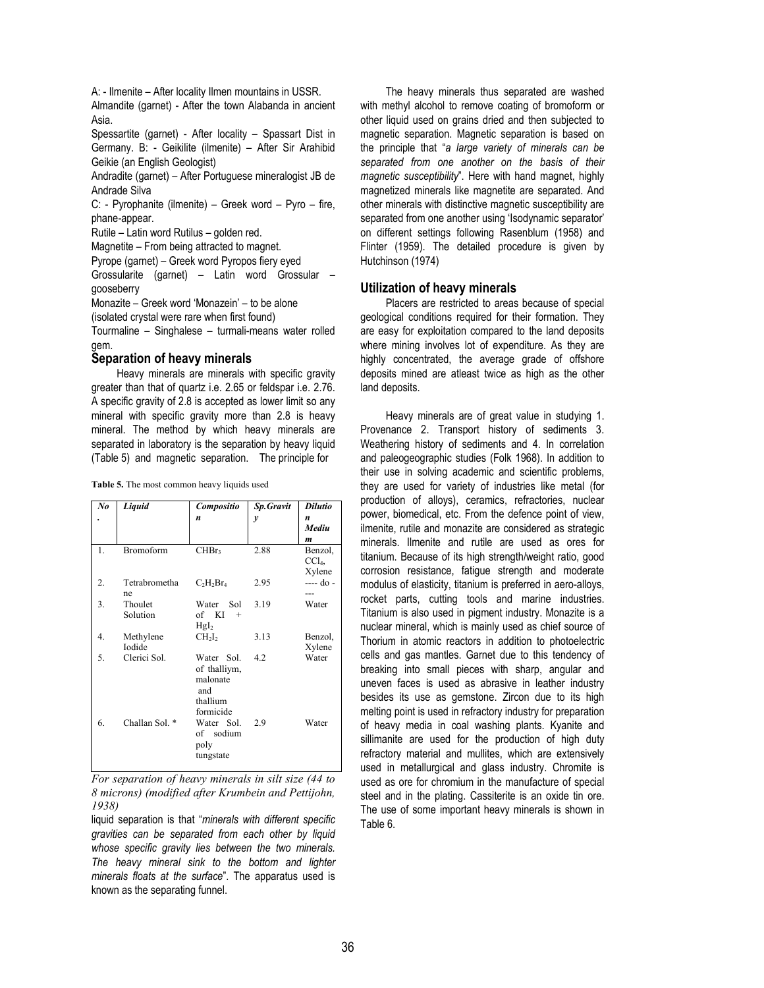A: - Ilmenite – After locality Ilmen mountains in USSR.

Almandite (garnet) - After the town Alabanda in ancient Asia.

Spessartite (garnet) - After locality – Spassart Dist in Germany. B: - Geikilite (ilmenite) – After Sir Arahibid Geikie (an English Geologist)

Andradite (garnet) – After Portuguese mineralogist JB de Andrade Silva

C: - Pyrophanite (ilmenite) – Greek word – Pyro – fire, phane-appear.

Rutile – Latin word Rutilus – golden red.

Magnetite – From being attracted to magnet.

Pyrope (garnet) – Greek word Pyropos fiery eyed

Grossularite (garnet) – Latin word Grossular – gooseberry

Monazite – Greek word 'Monazein' – to be alone

(isolated crystal were rare when first found)

Tourmaline – Singhalese – turmali-means water rolled gem.

# **Separation of heavy minerals**

Heavy minerals are minerals with specific gravity greater than that of quartz i.e. 2.65 or feldspar i.e. 2.76. A specific gravity of 2.8 is accepted as lower limit so any mineral with specific gravity more than 2.8 is heavy mineral. The method by which heavy minerals are separated in laboratory is the separation by heavy liquid (Table 5) and magnetic separation. The principle for

| Mediu<br>Benzol,<br>CCl <sub>4</sub><br>Xylene<br>$---$ do - |
|--------------------------------------------------------------|
|                                                              |
|                                                              |
|                                                              |
|                                                              |
|                                                              |
|                                                              |
|                                                              |
|                                                              |
| Water                                                        |
|                                                              |
|                                                              |
| Benzol,                                                      |
| Xylene                                                       |
| Water                                                        |
|                                                              |
|                                                              |
|                                                              |
|                                                              |
|                                                              |
| Water                                                        |
|                                                              |
|                                                              |
|                                                              |
|                                                              |

*For separation of heavy minerals in silt size (44 to 8 microns) (modified after Krumbein and Pettijohn, 1938)* 

liquid separation is that "*minerals with different specific gravities can be separated from each other by liquid whose specific gravity lies between the two minerals. The heavy mineral sink to the bottom and lighter minerals floats at the surface*". The apparatus used is known as the separating funnel.

The heavy minerals thus separated are washed with methyl alcohol to remove coating of bromoform or other liquid used on grains dried and then subjected to magnetic separation. Magnetic separation is based on the principle that "*a large variety of minerals can be separated from one another on the basis of their magnetic susceptibility*". Here with hand magnet, highly magnetized minerals like magnetite are separated. And other minerals with distinctive magnetic susceptibility are separated from one another using 'Isodynamic separator' on different settings following Rasenblum (1958) and Flinter (1959). The detailed procedure is given by Hutchinson (1974)

# **Utilization of heavy minerals**

Placers are restricted to areas because of special geological conditions required for their formation. They are easy for exploitation compared to the land deposits where mining involves lot of expenditure. As they are highly concentrated, the average grade of offshore deposits mined are atleast twice as high as the other land deposits.

Heavy minerals are of great value in studying 1. Provenance 2. Transport history of sediments 3. Weathering history of sediments and 4. In correlation and paleogeographic studies (Folk 1968). In addition to their use in solving academic and scientific problems, they are used for variety of industries like metal (for production of alloys), ceramics, refractories, nuclear power, biomedical, etc. From the defence point of view, ilmenite, rutile and monazite are considered as strategic minerals. Ilmenite and rutile are used as ores for titanium. Because of its high strength/weight ratio, good corrosion resistance, fatigue strength and moderate modulus of elasticity, titanium is preferred in aero-alloys, rocket parts, cutting tools and marine industries. Titanium is also used in pigment industry. Monazite is a nuclear mineral, which is mainly used as chief source of Thorium in atomic reactors in addition to photoelectric cells and gas mantles. Garnet due to this tendency of breaking into small pieces with sharp, angular and uneven faces is used as abrasive in leather industry besides its use as gemstone. Zircon due to its high melting point is used in refractory industry for preparation of heavy media in coal washing plants. Kyanite and sillimanite are used for the production of high duty refractory material and mullites, which are extensively used in metallurgical and glass industry. Chromite is used as ore for chromium in the manufacture of special steel and in the plating. Cassiterite is an oxide tin ore. The use of some important heavy minerals is shown in Table 6.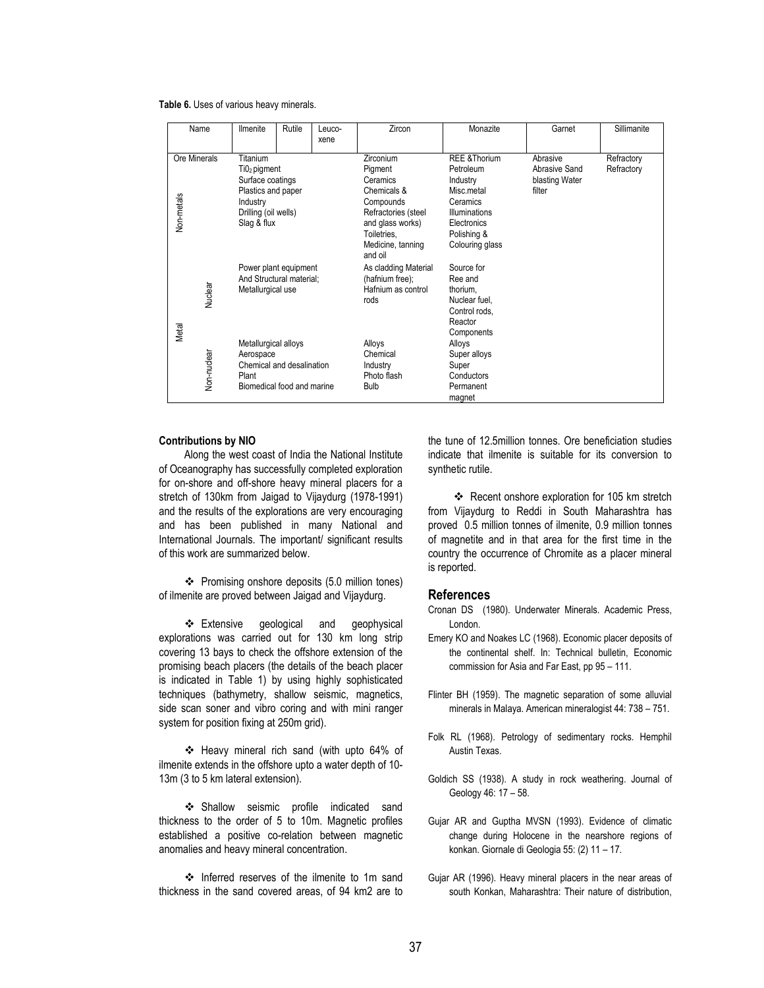#### **Table 6.** Uses of various heavy minerals.

|                  | Name                                                                                                                                  | <b>Ilmenite</b>                                                                                       | Rutile | Leuco-<br>xene                                                        | Zircon                                                                                                                                                 | Monazite                                                                                                                                     | Garnet                                                | Sillimanite              |
|------------------|---------------------------------------------------------------------------------------------------------------------------------------|-------------------------------------------------------------------------------------------------------|--------|-----------------------------------------------------------------------|--------------------------------------------------------------------------------------------------------------------------------------------------------|----------------------------------------------------------------------------------------------------------------------------------------------|-------------------------------------------------------|--------------------------|
| Non-metals       | Titanium<br>Ore Minerals<br>Ti02 pigment<br>Surface coatings<br>Plastics and paper<br>Industry<br>Drilling (oil wells)<br>Slag & flux |                                                                                                       |        |                                                                       | Zirconium<br>Pigment<br>Ceramics<br>Chemicals &<br>Compounds<br>Refractories (steel<br>and glass works)<br>Toiletries,<br>Medicine, tanning<br>and oil | <b>REE &amp;Thorium</b><br>Petroleum<br>Industry<br>Misc.metal<br>Ceramics<br>Illuminations<br>Electronics<br>Polishing &<br>Colouring glass | Abrasive<br>Abrasive Sand<br>blasting Water<br>filter | Refractory<br>Refractory |
| Nuclear<br>Metal |                                                                                                                                       | Power plant equipment<br>And Structural material:<br>Metallurgical use                                |        | As cladding Material<br>(hafnium free);<br>Hafnium as control<br>rods | Source for<br>Ree and<br>thorium,<br>Nuclear fuel.<br>Control rods.<br>Reactor<br>Components                                                           |                                                                                                                                              |                                                       |                          |
|                  | Non-nuclear                                                                                                                           | Metallurgical alloys<br>Aerospace<br>Chemical and desalination<br>Plant<br>Biomedical food and marine |        | Alloys<br>Chemical<br>Industry<br>Photo flash<br><b>Bulb</b>          | Alloys<br>Super alloys<br>Super<br>Conductors<br>Permanent<br>magnet                                                                                   |                                                                                                                                              |                                                       |                          |

#### **Contributions by NIO**

Along the west coast of India the National Institute of Oceanography has successfully completed exploration for on-shore and off-shore heavy mineral placers for a stretch of 130km from Jaigad to Vijaydurg (1978-1991) and the results of the explorations are very encouraging and has been published in many National and International Journals. The important/ significant results of this work are summarized below.

 Promising onshore deposits (5.0 million tones) of ilmenite are proved between Jaigad and Vijaydurg.

❖ Extensive geological and geophysical explorations was carried out for 130 km long strip covering 13 bays to check the offshore extension of the promising beach placers (the details of the beach placer is indicated in Table 1) by using highly sophisticated techniques (bathymetry, shallow seismic, magnetics, side scan soner and vibro coring and with mini ranger system for position fixing at 250m grid).

 Heavy mineral rich sand (with upto 64% of ilmenite extends in the offshore upto a water depth of 10- 13m (3 to 5 km lateral extension).

 Shallow seismic profile indicated sand thickness to the order of 5 to 10m. Magnetic profiles established a positive co-relation between magnetic anomalies and heavy mineral concentration.

❖ Inferred reserves of the ilmenite to 1m sand thickness in the sand covered areas, of 94 km2 are to the tune of 12.5million tonnes. Ore beneficiation studies indicate that ilmenite is suitable for its conversion to synthetic rutile.

 Recent onshore exploration for 105 km stretch from Vijaydurg to Reddi in South Maharashtra has proved 0.5 million tonnes of ilmenite, 0.9 million tonnes of magnetite and in that area for the first time in the country the occurrence of Chromite as a placer mineral is reported.

# **References**

- Cronan DS (1980). Underwater Minerals. Academic Press, London.
- Emery KO and Noakes LC (1968). Economic placer deposits of the continental shelf. In: Technical bulletin, Economic commission for Asia and Far East, pp 95 – 111.
- Flinter BH (1959). The magnetic separation of some alluvial minerals in Malaya. American mineralogist 44: 738 – 751.
- Folk RL (1968). Petrology of sedimentary rocks. Hemphil Austin Texas.
- Goldich SS (1938). A study in rock weathering. Journal of Geology 46: 17 – 58.
- Gujar AR and Guptha MVSN (1993). Evidence of climatic change during Holocene in the nearshore regions of konkan. Giornale di Geologia 55: (2) 11 – 17.
- Gujar AR (1996). Heavy mineral placers in the near areas of south Konkan, Maharashtra: Their nature of distribution,